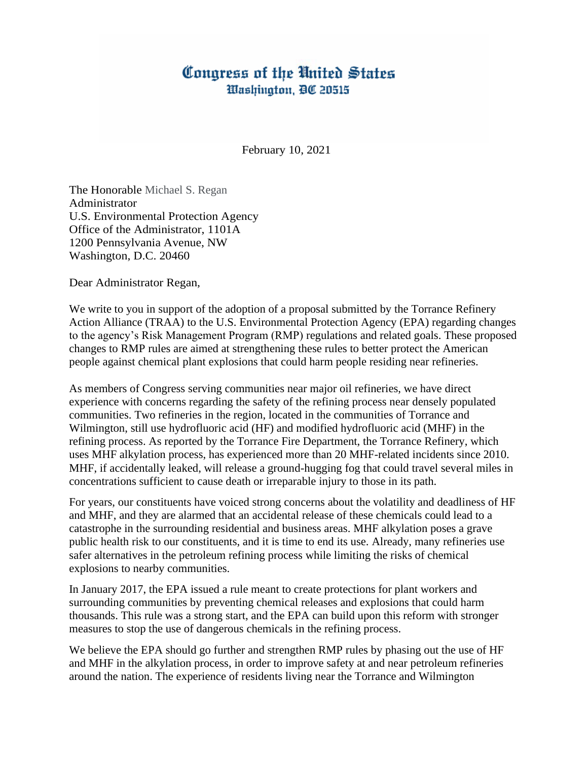## Congress of the United States Washington, DC 20515

February 10, 2021

The Honorable Michael S. Regan Administrator U.S. Environmental Protection Agency Office of the Administrator, 1101A 1200 Pennsylvania Avenue, NW Washington, D.C. 20460

Dear Administrator Regan,

We write to you in support of the adoption of a proposal submitted by the Torrance Refinery Action Alliance (TRAA) to the U.S. Environmental Protection Agency (EPA) regarding changes to the agency's Risk Management Program (RMP) regulations and related goals. These proposed changes to RMP rules are aimed at strengthening these rules to better protect the American people against chemical plant explosions that could harm people residing near refineries.

As members of Congress serving communities near major oil refineries, we have direct experience with concerns regarding the safety of the refining process near densely populated communities. Two refineries in the region, located in the communities of Torrance and Wilmington, still use hydrofluoric acid (HF) and modified hydrofluoric acid (MHF) in the refining process. As reported by the Torrance Fire Department, the Torrance Refinery, which uses MHF alkylation process, has experienced more than 20 MHF-related incidents since 2010. MHF, if accidentally leaked, will release a ground-hugging fog that could travel several miles in concentrations sufficient to cause death or irreparable injury to those in its path.

For years, our constituents have voiced strong concerns about the volatility and deadliness of HF and MHF, and they are alarmed that an accidental release of these chemicals could lead to a catastrophe in the surrounding residential and business areas. MHF alkylation poses a grave public health risk to our constituents, and it is time to end its use. Already, many refineries use safer alternatives in the petroleum refining process while limiting the risks of chemical explosions to nearby communities.

In January 2017, the EPA issued a rule meant to create protections for plant workers and surrounding communities by preventing chemical releases and explosions that could harm thousands. This rule was a strong start, and the EPA can build upon this reform with stronger measures to stop the use of dangerous chemicals in the refining process.

We believe the EPA should go further and strengthen RMP rules by phasing out the use of HF and MHF in the alkylation process, in order to improve safety at and near petroleum refineries around the nation. The experience of residents living near the Torrance and Wilmington